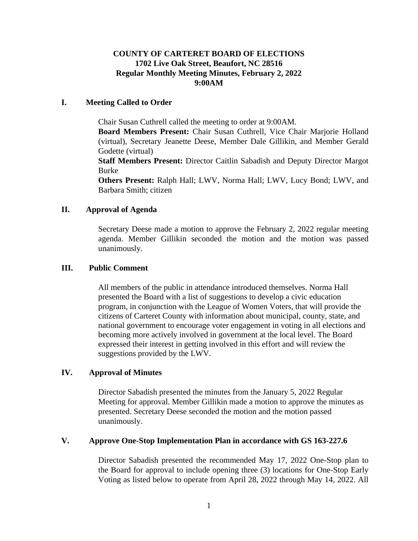# **COUNTY OF CARTERET BOARD OF ELECTIONS 1702 Live Oak Street, Beaufort, NC 28516 Regular Monthly Meeting Minutes, February 2, 2022 9:00AM**

## **I. Meeting Called to Order**

Chair Susan Cuthrell called the meeting to order at 9:00AM.

**Board Members Present:** Chair Susan Cuthrell, Vice Chair Marjorie Holland (virtual), Secretary Jeanette Deese, Member Dale Gillikin, and Member Gerald Godette (virtual)

**Staff Members Present:** Director Caitlin Sabadish and Deputy Director Margot Burke

**Others Present:** Ralph Hall; LWV, Norma Hall; LWV, Lucy Bond; LWV, and Barbara Smith; citizen

## **II. Approval of Agenda**

Secretary Deese made a motion to approve the February 2, 2022 regular meeting agenda. Member Gillikin seconded the motion and the motion was passed unanimously.

## **III. Public Comment**

All members of the public in attendance introduced themselves. Norma Hall presented the Board with a list of suggestions to develop a civic education program, in conjunction with the League of Women Voters, that will provide the citizens of Carteret County with information about municipal, county, state, and national government to encourage voter engagement in voting in all elections and becoming more actively involved in government at the local level. The Board expressed their interest in getting involved in this effort and will review the suggestions provided by the LWV.

### **IV. Approval of Minutes**

Director Sabadish presented the minutes from the January 5, 2022 Regular Meeting for approval. Member Gillikin made a motion to approve the minutes as presented. Secretary Deese seconded the motion and the motion passed unanimously.

### **V. Approve One-Stop Implementation Plan in accordance with GS 163-227.6**

Director Sabadish presented the recommended May 17, 2022 One-Stop plan to the Board for approval to include opening three (3) locations for One-Stop Early Voting as listed below to operate from April 28, 2022 through May 14, 2022. All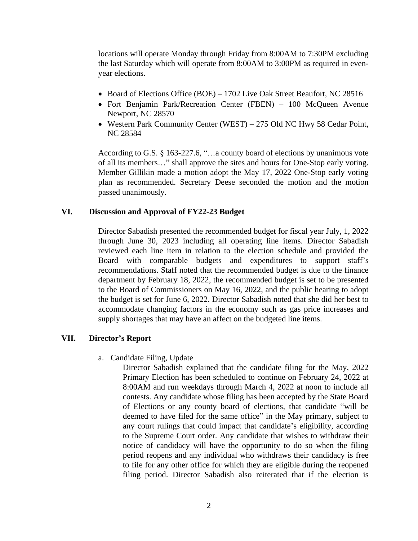locations will operate Monday through Friday from 8:00AM to 7:30PM excluding the last Saturday which will operate from 8:00AM to 3:00PM as required in evenyear elections.

- Board of Elections Office (BOE) 1702 Live Oak Street Beaufort, NC 28516
- Fort Benjamin Park/Recreation Center (FBEN) 100 McQueen Avenue Newport, NC 28570
- Western Park Community Center (WEST) 275 Old NC Hwy 58 Cedar Point, NC 28584

According to G.S. § 163-227.6, "…a county board of elections by unanimous vote of all its members…" shall approve the sites and hours for One-Stop early voting. Member Gillikin made a motion adopt the May 17, 2022 One-Stop early voting plan as recommended. Secretary Deese seconded the motion and the motion passed unanimously.

#### **VI. Discussion and Approval of FY22-23 Budget**

Director Sabadish presented the recommended budget for fiscal year July, 1, 2022 through June 30, 2023 including all operating line items. Director Sabadish reviewed each line item in relation to the election schedule and provided the Board with comparable budgets and expenditures to support staff's recommendations. Staff noted that the recommended budget is due to the finance department by February 18, 2022, the recommended budget is set to be presented to the Board of Commissioners on May 16, 2022, and the public hearing to adopt the budget is set for June 6, 2022. Director Sabadish noted that she did her best to accommodate changing factors in the economy such as gas price increases and supply shortages that may have an affect on the budgeted line items.

## **VII. Director's Report**

a. Candidate Filing, Update

Director Sabadish explained that the candidate filing for the May, 2022 Primary Election has been scheduled to continue on February 24, 2022 at 8:00AM and run weekdays through March 4, 2022 at noon to include all contests. Any candidate whose filing has been accepted by the State Board of Elections or any county board of elections, that candidate "will be deemed to have filed for the same office" in the May primary, subject to any court rulings that could impact that candidate's eligibility, according to the Supreme Court order. Any candidate that wishes to withdraw their notice of candidacy will have the opportunity to do so when the filing period reopens and any individual who withdraws their candidacy is free to file for any other office for which they are eligible during the reopened filing period. Director Sabadish also reiterated that if the election is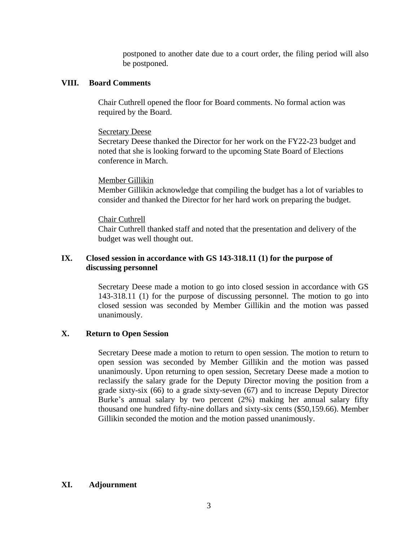postponed to another date due to a court order, the filing period will also be postponed.

### **VIII. Board Comments**

Chair Cuthrell opened the floor for Board comments. No formal action was required by the Board.

### **Secretary Deese**

Secretary Deese thanked the Director for her work on the FY22-23 budget and noted that she is looking forward to the upcoming State Board of Elections conference in March.

#### Member Gillikin

Member Gillikin acknowledge that compiling the budget has a lot of variables to consider and thanked the Director for her hard work on preparing the budget.

#### Chair Cuthrell

Chair Cuthrell thanked staff and noted that the presentation and delivery of the budget was well thought out.

## **IX. Closed session in accordance with GS 143-318.11 (1) for the purpose of discussing personnel**

Secretary Deese made a motion to go into closed session in accordance with GS 143-318.11 (1) for the purpose of discussing personnel. The motion to go into closed session was seconded by Member Gillikin and the motion was passed unanimously.

### **X. Return to Open Session**

Secretary Deese made a motion to return to open session. The motion to return to open session was seconded by Member Gillikin and the motion was passed unanimously. Upon returning to open session, Secretary Deese made a motion to reclassify the salary grade for the Deputy Director moving the position from a grade sixty-six (66) to a grade sixty-seven (67) and to increase Deputy Director Burke's annual salary by two percent (2%) making her annual salary fifty thousand one hundred fifty-nine dollars and sixty-six cents (\$50,159.66). Member Gillikin seconded the motion and the motion passed unanimously.

# **XI. Adjournment**